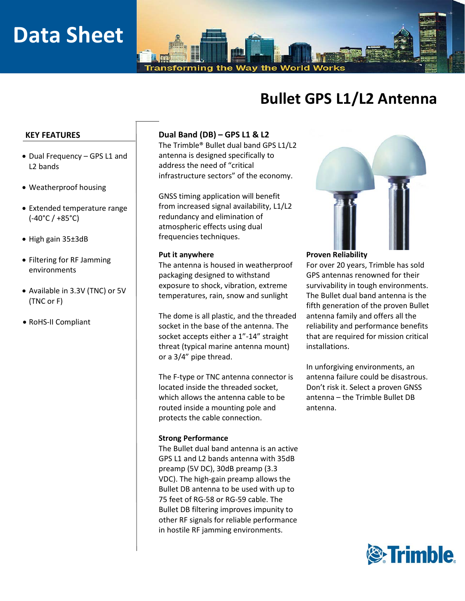# **Data Sheet**

Transforming the Wav the World Works

## **Bullet GPS L1/L2 Antenna**

#### **KEY FEATURES**

- Dual Frequency GPS L1 and L2 bands
- Weatherproof housing
- Extended temperature range (-40°C / +85°C)
- High gain 35±3dB
- Filtering for RF Jamming environments
- Available in 3.3V (TNC) or 5V (TNC or F)
- RoHS-II Compliant

### **Dual Band (DB) – GPS L1 & L2**

The Trimble® Bullet dual band GPS L1/L2 antenna is designed specifically to address the need of "critical infrastructure sectors" of the economy.

GNSS timing application will benefit from increased signal availability, L1/L2 redundancy and elimination of atmospheric effects using dual frequencies techniques.

The antenna is housed in weatherproof packaging designed to withstand exposure to shock, vibration, extreme temperatures, rain, snow and sunlight

The dome is all plastic, and the threaded socket in the base of the antenna. The socket accepts either a 1"-14" straight threat (typical marine antenna mount) or a 3/4" pipe thread.

The F-type or TNC antenna connector is located inside the threaded socket, which allows the antenna cable to be routed inside a mounting pole and protects the cable connection.

#### **Strong Performance**

The Bullet dual band antenna is an active GPS L1 and L2 bands antenna with 35dB preamp (5V DC), 30dB preamp (3.3 VDC). The high-gain preamp allows the Bullet DB antenna to be used with up to 75 feet of RG-58 or RG-59 cable. The Bullet DB filtering improves impunity to other RF signals for reliable performance in hostile RF jamming environments.



#### **Put it anywhere Proven Reliability**

For over 20 years, Trimble has sold GPS antennas renowned for their survivability in tough environments. The Bullet dual band antenna is the fifth generation of the proven Bullet antenna family and offers all the reliability and performance benefits that are required for mission critical installations.

In unforgiving environments, an antenna failure could be disastrous. Don't risk it. Select a proven GNSS antenna – the Trimble Bullet DB antenna.